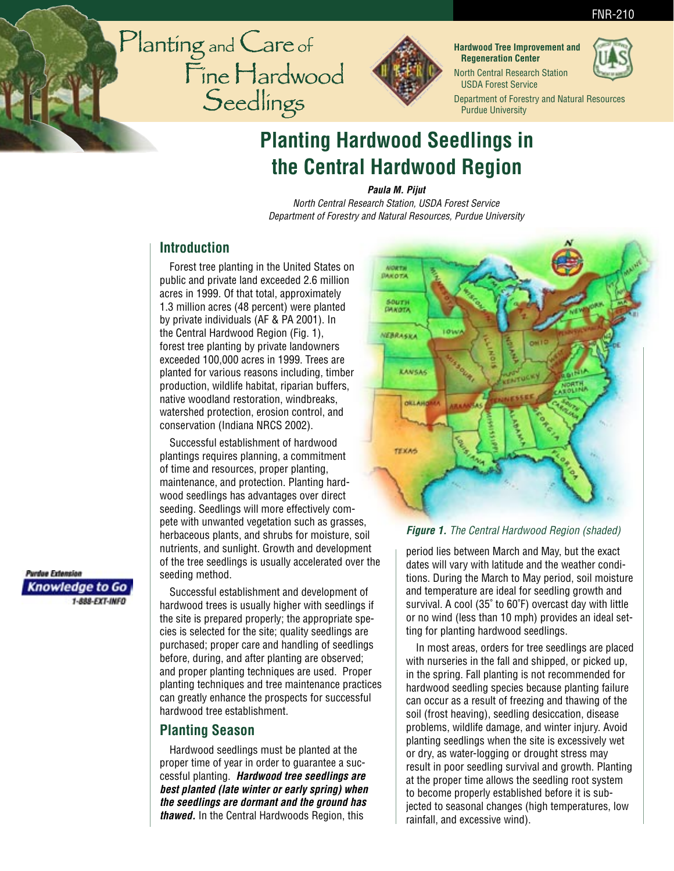#### FNR-210





**Hardwood Tree Improvement and Regeneration Center** North Central Research Station

USDA Forest Service

Department of Forestry and Natural Resources Purdue University

# **Planting Hardwood Seedlings in the Central Hardwood Region**

**Paula M. Pijut**

North Central Research Station, USDA Forest Service Department of Forestry and Natural Resources, Purdue University

## **Introduction**

Forest tree planting in the United States on public and private land exceeded 2.6 million acres in 1999. Of that total, approximately 1.3 million acres (48 percent) were planted by private individuals (AF & PA 2001). In the Central Hardwood Region (Fig. 1), forest tree planting by private landowners exceeded 100,000 acres in 1999. Trees are planted for various reasons including, timber production, wildlife habitat, riparian buffers, native woodland restoration, windbreaks, watershed protection, erosion control, and conservation (Indiana NRCS 2002).

Successful establishment of hardwood plantings requires planning, a commitment of time and resources, proper planting, maintenance, and protection. Planting hardwood seedlings has advantages over direct seeding. Seedlings will more effectively compete with unwanted vegetation such as grasses, herbaceous plants, and shrubs for moisture, soil nutrients, and sunlight. Growth and development of the tree seedlings is usually accelerated over the seeding method.

Successful establishment and development of hardwood trees is usually higher with seedlings if the site is prepared properly; the appropriate species is selected for the site; quality seedlings are purchased; proper care and handling of seedlings before, during, and after planting are observed; and proper planting techniques are used. Proper planting techniques and tree maintenance practices can greatly enhance the prospects for successful hardwood tree establishment.

# **Planting Season**

Hardwood seedlings must be planted at the proper time of year in order to guarantee a successful planting. **Hardwood tree seedlings are best planted (late winter or early spring) when the seedlings are dormant and the ground has thawed.** In the Central Hardwoods Region, this



#### **Figure 1.** The Central Hardwood Region (shaded)

period lies between March and May, but the exact dates will vary with latitude and the weather conditions. During the March to May period, soil moisture and temperature are ideal for seedling growth and survival. A cool (35˚ to 60˚F) overcast day with little or no wind (less than 10 mph) provides an ideal setting for planting hardwood seedlings.

In most areas, orders for tree seedlings are placed with nurseries in the fall and shipped, or picked up, in the spring. Fall planting is not recommended for hardwood seedling species because planting failure can occur as a result of freezing and thawing of the soil (frost heaving), seedling desiccation, disease problems, wildlife damage, and winter injury. Avoid planting seedlings when the site is excessively wet or dry, as water-logging or drought stress may result in poor seedling survival and growth. Planting at the proper time allows the seedling root system to become properly established before it is subjected to seasonal changes (high temperatures, low rainfall, and excessive wind).

Purdue Extension Knowledge to Go 1-888-EXT-INFO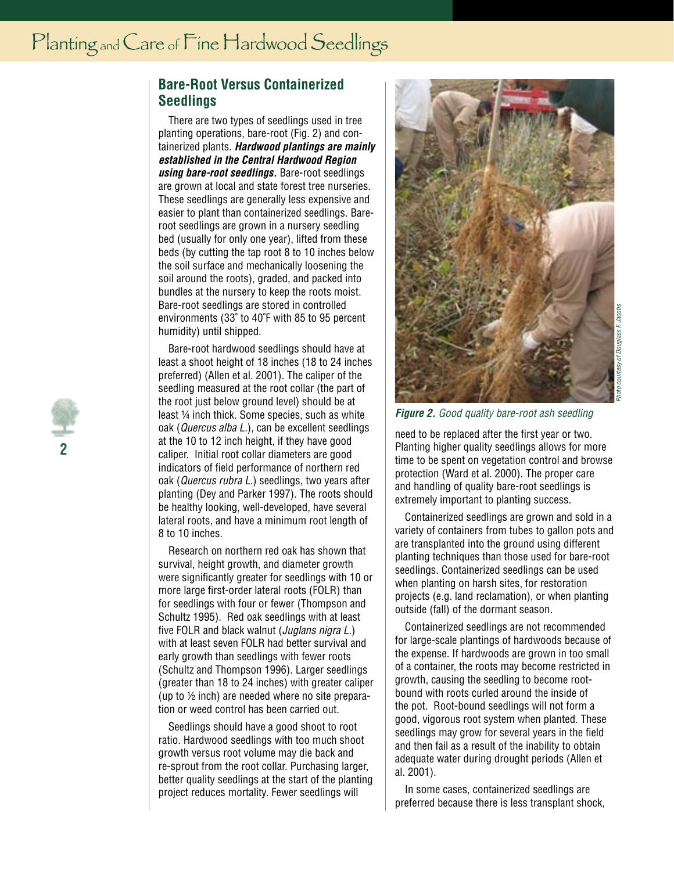## **Bare-Root Versus Containerized Seedlings**

There are two types of seedlings used in tree planting operations, bare-root (Fig. 2) and containerized plants. **Hardwood plantings are mainly established in the Central Hardwood Region using bare-root seedlings.** Bare-root seedlings are grown at local and state forest tree nurseries. These seedlings are generally less expensive and easier to plant than containerized seedlings. Bareroot seedlings are grown in a nursery seedling bed (usually for only one year), lifted from these beds (by cutting the tap root 8 to 10 inches below the soil surface and mechanically loosening the soil around the roots), graded, and packed into bundles at the nursery to keep the roots moist. Bare-root seedlings are stored in controlled environments (33˚ to 40˚F with 85 to 95 percent humidity) until shipped.

Bare-root hardwood seedlings should have at least a shoot height of 18 inches (18 to 24 inches preferred) (Allen et al. 2001). The caliper of the seedling measured at the root collar (the part of the root just below ground level) should be at least 1⁄4 inch thick. Some species, such as white oak (Quercus alba L.), can be excellent seedlings at the 10 to 12 inch height, if they have good caliper. Initial root collar diameters are good indicators of field performance of northern red oak (Quercus rubra L.) seedlings, two years after planting (Dey and Parker 1997). The roots should be healthy looking, well-developed, have several lateral roots, and have a minimum root length of 8 to 10 inches.

Research on northern red oak has shown that survival, height growth, and diameter growth were significantly greater for seedlings with 10 or more large first-order lateral roots (FOLR) than for seedlings with four or fewer (Thompson and Schultz 1995). Red oak seedlings with at least five FOLR and black walnut (*Juglans nigra L.*) with at least seven FOLR had better survival and early growth than seedlings with fewer roots (Schultz and Thompson 1996). Larger seedlings (greater than 18 to 24 inches) with greater caliper (up to  $\frac{1}{2}$  inch) are needed where no site preparation or weed control has been carried out.

Seedlings should have a good shoot to root ratio. Hardwood seedlings with too much shoot growth versus root volume may die back and re-sprout from the root collar. Purchasing larger, better quality seedlings at the start of the planting project reduces mortality. Fewer seedlings will



**Figure 2.** Good quality bare-root ash seedling

need to be replaced after the first year or two. Planting higher quality seedlings allows for more time to be spent on vegetation control and browse protection (Ward et al. 2000). The proper care and handling of quality bare-root seedlings is extremely important to planting success.

Containerized seedlings are grown and sold in a variety of containers from tubes to gallon pots and are transplanted into the ground using different planting techniques than those used for bare-root seedlings. Containerized seedlings can be used when planting on harsh sites, for restoration projects (e.g. land reclamation), or when planting outside (fall) of the dormant season.

Containerized seedlings are not recommended for large-scale plantings of hardwoods because of the expense. If hardwoods are grown in too small of a container, the roots may become restricted in growth, causing the seedling to become rootbound with roots curled around the inside of the pot. Root-bound seedlings will not form a good, vigorous root system when planted. These seedlings may grow for several years in the field and then fail as a result of the inability to obtain adequate water during drought periods (Allen et al. 2001).

In some cases, containerized seedlings are preferred because there is less transplant shock,

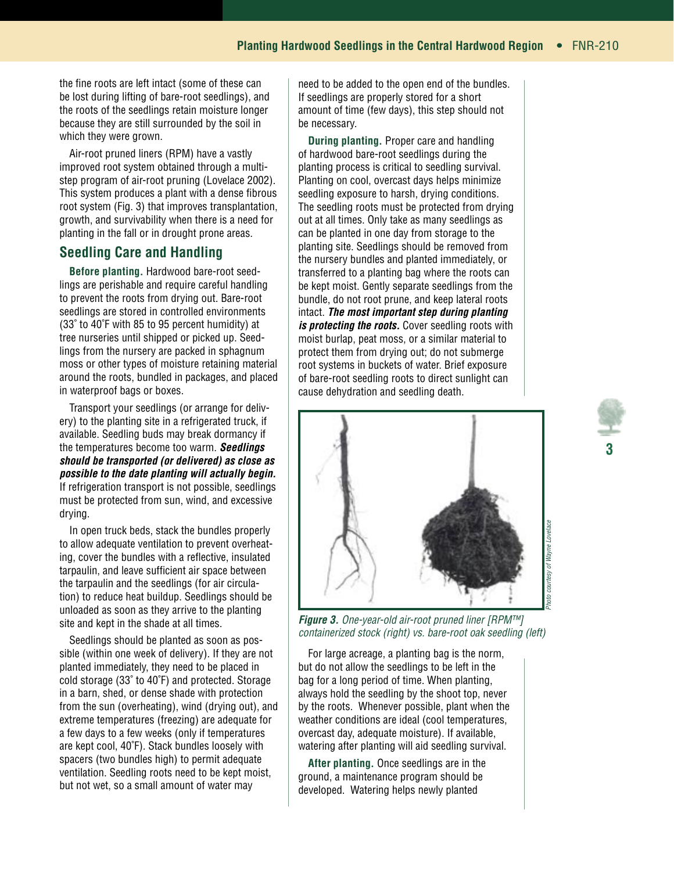the fine roots are left intact (some of these can be lost during lifting of bare-root seedlings), and the roots of the seedlings retain moisture longer because they are still surrounded by the soil in which they were grown.

Air-root pruned liners (RPM) have a vastly improved root system obtained through a multistep program of air-root pruning (Lovelace 2002). This system produces a plant with a dense fibrous root system (Fig. 3) that improves transplantation, growth, and survivability when there is a need for planting in the fall or in drought prone areas.

## **Seedling Care and Handling**

**Before planting.** Hardwood bare-root seedlings are perishable and require careful handling to prevent the roots from drying out. Bare-root seedlings are stored in controlled environments (33˚ to 40˚F with 85 to 95 percent humidity) at tree nurseries until shipped or picked up. Seedlings from the nursery are packed in sphagnum moss or other types of moisture retaining material around the roots, bundled in packages, and placed in waterproof bags or boxes.

Transport your seedlings (or arrange for delivery) to the planting site in a refrigerated truck, if available. Seedling buds may break dormancy if the temperatures become too warm. **Seedlings should be transported (or delivered) as close as possible to the date planting will actually begin.** If refrigeration transport is not possible, seedlings must be protected from sun, wind, and excessive drying.

In open truck beds, stack the bundles properly to allow adequate ventilation to prevent overheating, cover the bundles with a reflective, insulated tarpaulin, and leave sufficient air space between the tarpaulin and the seedlings (for air circulation) to reduce heat buildup. Seedlings should be unloaded as soon as they arrive to the planting site and kept in the shade at all times.

Seedlings should be planted as soon as possible (within one week of delivery). If they are not planted immediately, they need to be placed in cold storage (33˚ to 40˚F) and protected. Storage in a barn, shed, or dense shade with protection from the sun (overheating), wind (drying out), and extreme temperatures (freezing) are adequate for a few days to a few weeks (only if temperatures are kept cool, 40˚F). Stack bundles loosely with spacers (two bundles high) to permit adequate ventilation. Seedling roots need to be kept moist, but not wet, so a small amount of water may

need to be added to the open end of the bundles. If seedlings are properly stored for a short amount of time (few days), this step should not be necessary.

**During planting.** Proper care and handling of hardwood bare-root seedlings during the planting process is critical to seedling survival. Planting on cool, overcast days helps minimize seedling exposure to harsh, drying conditions. The seedling roots must be protected from drying out at all times. Only take as many seedlings as can be planted in one day from storage to the planting site. Seedlings should be removed from the nursery bundles and planted immediately, or transferred to a planting bag where the roots can be kept moist. Gently separate seedlings from the bundle, do not root prune, and keep lateral roots intact. **The most important step during planting**  is protecting the roots. Cover seedling roots with moist burlap, peat moss, or a similar material to protect them from drying out; do not submerge root systems in buckets of water. Brief exposure of bare-root seedling roots to direct sunlight can cause dehydration and seedling death.



**Figure 3.** One-year-old air-root pruned liner [RPM™] containerized stock (right) vs. bare-root oak seedling (left)

For large acreage, a planting bag is the norm, but do not allow the seedlings to be left in the bag for a long period of time. When planting, always hold the seedling by the shoot top, never by the roots. Whenever possible, plant when the weather conditions are ideal (cool temperatures, overcast day, adequate moisture). If available, watering after planting will aid seedling survival.

**After planting.** Once seedlings are in the ground, a maintenance program should be developed. Watering helps newly planted

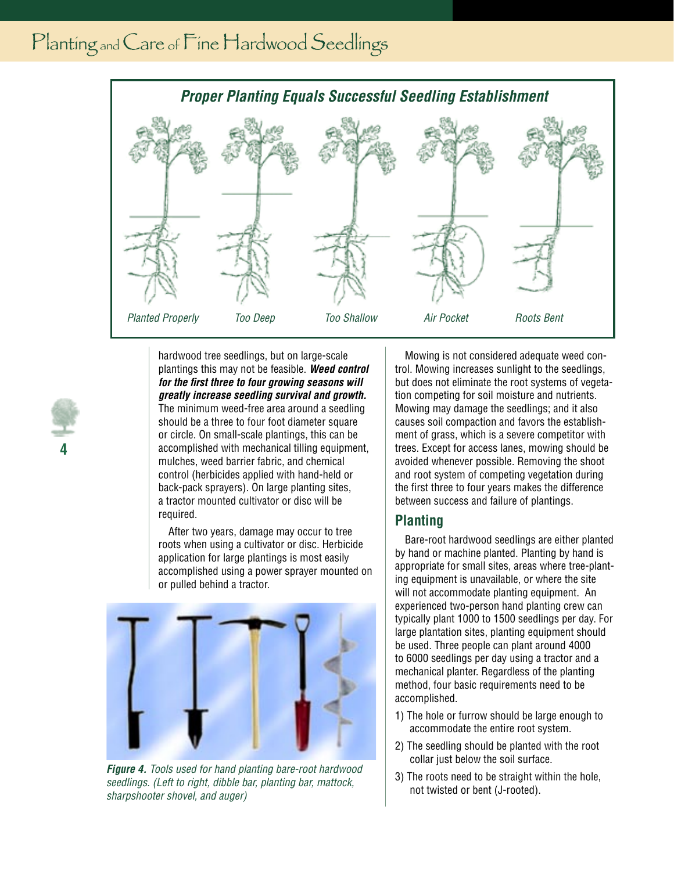

hardwood tree seedlings, but on large-scale plantings this may not be feasible. **Weed control for the first three to four growing seasons will greatly increase seedling survival and growth.** The minimum weed-free area around a seedling should be a three to four foot diameter square or circle. On small-scale plantings, this can be accomplished with mechanical tilling equipment, mulches, weed barrier fabric, and chemical control (herbicides applied with hand-held or back-pack sprayers). On large planting sites, a tractor mounted cultivator or disc will be required.

**4**

After two years, damage may occur to tree roots when using a cultivator or disc. Herbicide application for large plantings is most easily accomplished using a power sprayer mounted on or pulled behind a tractor.



**Figure 4.** Tools used for hand planting bare-root hardwood seedlings. (Left to right, dibble bar, planting bar, mattock, sharpshooter shovel, and auger)

Mowing is not considered adequate weed control. Mowing increases sunlight to the seedlings, but does not eliminate the root systems of vegetation competing for soil moisture and nutrients. Mowing may damage the seedlings; and it also causes soil compaction and favors the establishment of grass, which is a severe competitor with trees. Except for access lanes, mowing should be avoided whenever possible. Removing the shoot and root system of competing vegetation during the first three to four years makes the difference between success and failure of plantings.

### **Planting**

Bare-root hardwood seedlings are either planted by hand or machine planted. Planting by hand is appropriate for small sites, areas where tree-planting equipment is unavailable, or where the site will not accommodate planting equipment. An experienced two-person hand planting crew can typically plant 1000 to 1500 seedlings per day. For large plantation sites, planting equipment should be used. Three people can plant around 4000 to 6000 seedlings per day using a tractor and a mechanical planter. Regardless of the planting method, four basic requirements need to be accomplished.

- 1) The hole or furrow should be large enough to accommodate the entire root system.
- 2) The seedling should be planted with the root collar just below the soil surface.
- 3) The roots need to be straight within the hole, not twisted or bent (J-rooted).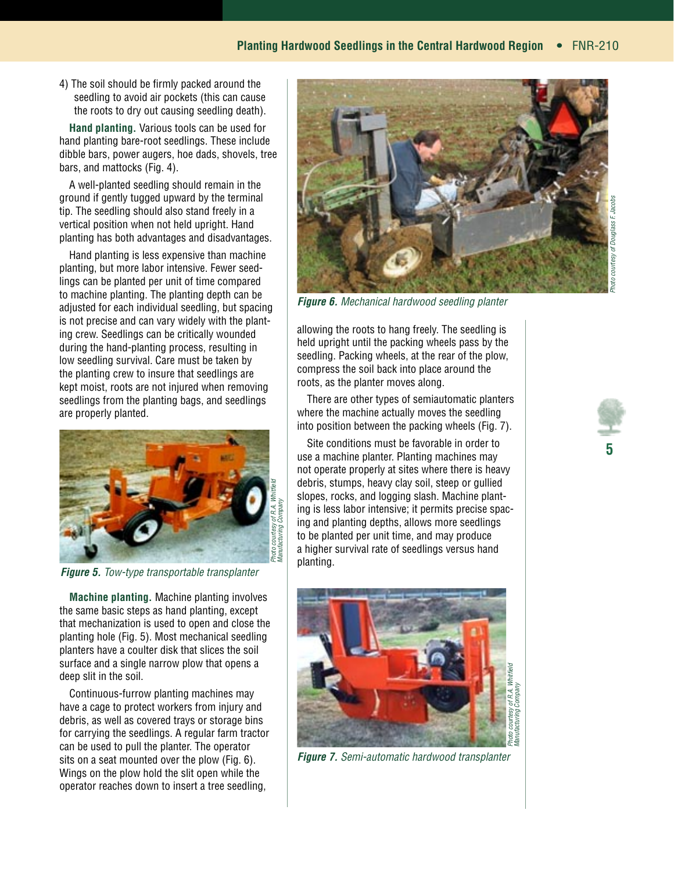4) The soil should be firmly packed around the seedling to avoid air pockets (this can cause the roots to dry out causing seedling death).

**Hand planting.** Various tools can be used for hand planting bare-root seedlings. These include dibble bars, power augers, hoe dads, shovels, tree bars, and mattocks (Fig. 4).

A well-planted seedling should remain in the ground if gently tugged upward by the terminal tip. The seedling should also stand freely in a vertical position when not held upright. Hand planting has both advantages and disadvantages.

Hand planting is less expensive than machine planting, but more labor intensive. Fewer seedlings can be planted per unit of time compared to machine planting. The planting depth can be adjusted for each individual seedling, but spacing is not precise and can vary widely with the planting crew. Seedlings can be critically wounded during the hand-planting process, resulting in low seedling survival. Care must be taken by the planting crew to insure that seedlings are kept moist, roots are not injured when removing seedlings from the planting bags, and seedlings are properly planted.



**Figure 5.** Tow-type transportable transplanter

**Machine planting.** Machine planting involves the same basic steps as hand planting, except that mechanization is used to open and close the planting hole (Fig. 5). Most mechanical seedling planters have a coulter disk that slices the soil surface and a single narrow plow that opens a deep slit in the soil.

Continuous-furrow planting machines may have a cage to protect workers from injury and debris, as well as covered trays or storage bins for carrying the seedlings. A regular farm tractor can be used to pull the planter. The operator sits on a seat mounted over the plow (Fig. 6). Wings on the plow hold the slit open while the operator reaches down to insert a tree seedling,



**Figure 6.** Mechanical hardwood seedling planter

allowing the roots to hang freely. The seedling is held upright until the packing wheels pass by the seedling. Packing wheels, at the rear of the plow, compress the soil back into place around the roots, as the planter moves along.

There are other types of semiautomatic planters where the machine actually moves the seedling into position between the packing wheels (Fig. 7).

Site conditions must be favorable in order to use a machine planter. Planting machines may not operate properly at sites where there is heavy debris, stumps, heavy clay soil, steep or gullied slopes, rocks, and logging slash. Machine planting is less labor intensive; it permits precise spacing and planting depths, allows more seedlings to be planted per unit time, and may produce a higher survival rate of seedlings versus hand planting.



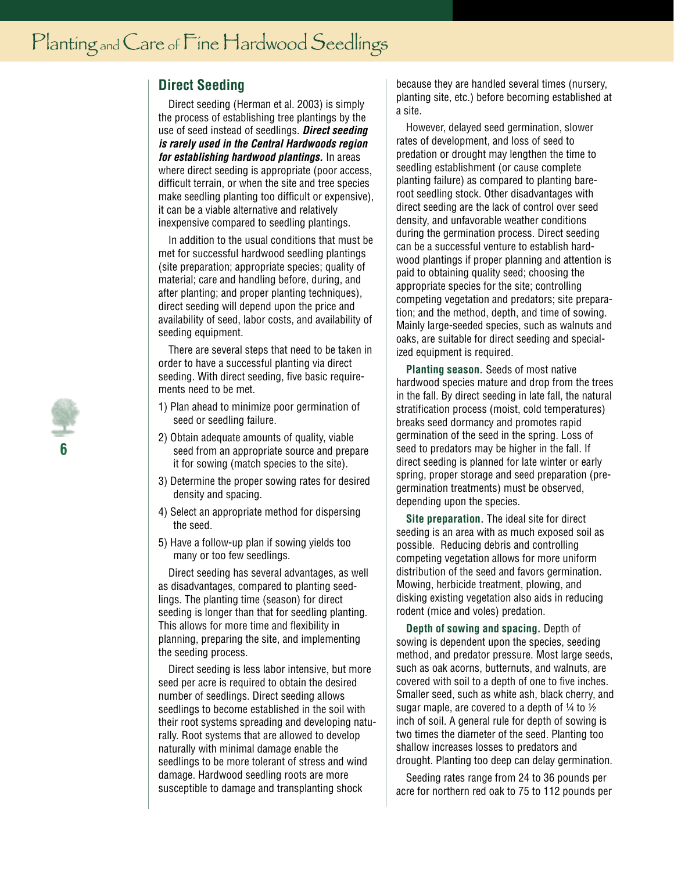# **Direct Seeding**

Direct seeding (Herman et al. 2003) is simply the process of establishing tree plantings by the use of seed instead of seedlings. **Direct seeding is rarely used in the Central Hardwoods region for establishing hardwood plantings.** In areas where direct seeding is appropriate (poor access, difficult terrain, or when the site and tree species make seedling planting too difficult or expensive), it can be a viable alternative and relatively inexpensive compared to seedling plantings.

In addition to the usual conditions that must be met for successful hardwood seedling plantings (site preparation; appropriate species; quality of material; care and handling before, during, and after planting; and proper planting techniques), direct seeding will depend upon the price and availability of seed, labor costs, and availability of seeding equipment.

There are several steps that need to be taken in order to have a successful planting via direct seeding. With direct seeding, five basic requirements need to be met.

- 1) Plan ahead to minimize poor germination of seed or seedling failure.
- 2) Obtain adequate amounts of quality, viable seed from an appropriate source and prepare it for sowing (match species to the site).
- 3) Determine the proper sowing rates for desired density and spacing.
- 4) Select an appropriate method for dispersing the seed.
- 5) Have a follow-up plan if sowing yields too many or too few seedlings.

Direct seeding has several advantages, as well as disadvantages, compared to planting seedlings. The planting time (season) for direct seeding is longer than that for seedling planting. This allows for more time and flexibility in planning, preparing the site, and implementing the seeding process.

Direct seeding is less labor intensive, but more seed per acre is required to obtain the desired number of seedlings. Direct seeding allows seedlings to become established in the soil with their root systems spreading and developing naturally. Root systems that are allowed to develop naturally with minimal damage enable the seedlings to be more tolerant of stress and wind damage. Hardwood seedling roots are more susceptible to damage and transplanting shock

because they are handled several times (nursery, planting site, etc.) before becoming established at a site.

However, delayed seed germination, slower rates of development, and loss of seed to predation or drought may lengthen the time to seedling establishment (or cause complete planting failure) as compared to planting bareroot seedling stock. Other disadvantages with direct seeding are the lack of control over seed density, and unfavorable weather conditions during the germination process. Direct seeding can be a successful venture to establish hardwood plantings if proper planning and attention is paid to obtaining quality seed; choosing the appropriate species for the site; controlling competing vegetation and predators; site preparation; and the method, depth, and time of sowing. Mainly large-seeded species, such as walnuts and oaks, are suitable for direct seeding and specialized equipment is required.

**Planting season.** Seeds of most native hardwood species mature and drop from the trees in the fall. By direct seeding in late fall, the natural stratification process (moist, cold temperatures) breaks seed dormancy and promotes rapid germination of the seed in the spring. Loss of seed to predators may be higher in the fall. If direct seeding is planned for late winter or early spring, proper storage and seed preparation (pregermination treatments) must be observed, depending upon the species.

**Site preparation.** The ideal site for direct seeding is an area with as much exposed soil as possible. Reducing debris and controlling competing vegetation allows for more uniform distribution of the seed and favors germination. Mowing, herbicide treatment, plowing, and disking existing vegetation also aids in reducing rodent (mice and voles) predation.

**Depth of sowing and spacing.** Depth of sowing is dependent upon the species, seeding method, and predator pressure. Most large seeds, such as oak acorns, butternuts, and walnuts, are covered with soil to a depth of one to five inches. Smaller seed, such as white ash, black cherry, and sugar maple, are covered to a depth of  $\frac{1}{4}$  to  $\frac{1}{2}$ inch of soil. A general rule for depth of sowing is two times the diameter of the seed. Planting too shallow increases losses to predators and drought. Planting too deep can delay germination.

Seeding rates range from 24 to 36 pounds per acre for northern red oak to 75 to 112 pounds per

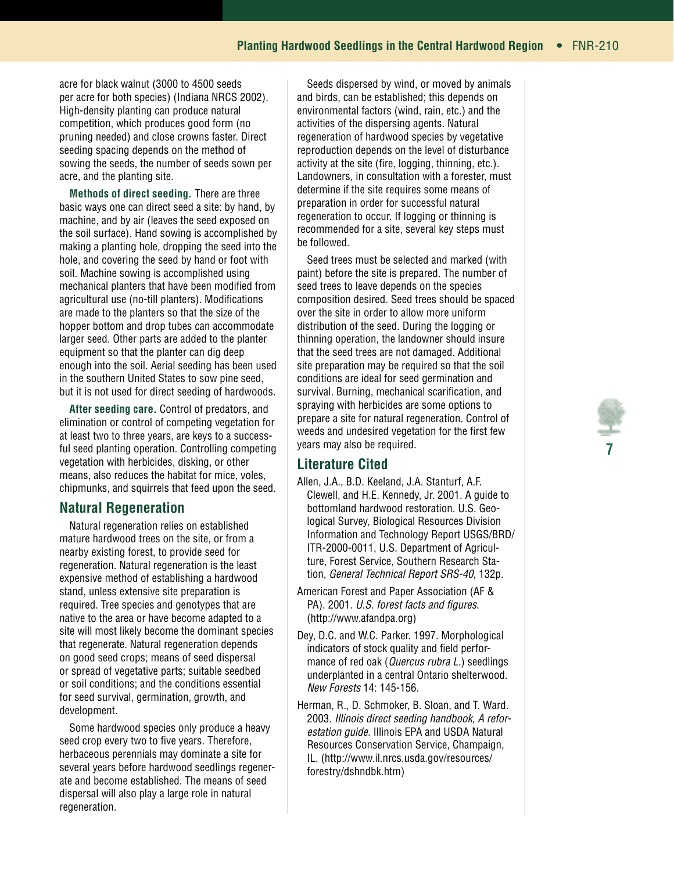acre for black walnut (3000 to 4500 seeds per acre for both species) (Indiana NRCS 2002). High-density planting can produce natural competition, which produces good form (no pruning needed) and close crowns faster. Direct seeding spacing depends on the method of sowing the seeds, the number of seeds sown per acre, and the planting site.

**Methods of direct seeding.** There are three basic ways one can direct seed a site: by hand, by machine, and by air (leaves the seed exposed on the soil surface). Hand sowing is accomplished by making a planting hole, dropping the seed into the hole, and covering the seed by hand or foot with soil. Machine sowing is accomplished using mechanical planters that have been modified from agricultural use (no-till planters). Modifications are made to the planters so that the size of the hopper bottom and drop tubes can accommodate larger seed. Other parts are added to the planter equipment so that the planter can dig deep enough into the soil. Aerial seeding has been used in the southern United States to sow pine seed, but it is not used for direct seeding of hardwoods.

**After seeding care.** Control of predators, and elimination or control of competing vegetation for at least two to three years, are keys to a successful seed planting operation. Controlling competing vegetation with herbicides, disking, or other means, also reduces the habitat for mice, voles, chipmunks, and squirrels that feed upon the seed.

### **Natural Regeneration**

Natural regeneration relies on established mature hardwood trees on the site, or from a nearby existing forest, to provide seed for regeneration. Natural regeneration is the least expensive method of establishing a hardwood stand, unless extensive site preparation is required. Tree species and genotypes that are native to the area or have become adapted to a site will most likely become the dominant species that regenerate. Natural regeneration depends on good seed crops; means of seed dispersal or spread of vegetative parts; suitable seedbed or soil conditions; and the conditions essential for seed survival, germination, growth, and development.

Some hardwood species only produce a heavy seed crop every two to five years. Therefore, herbaceous perennials may dominate a site for several years before hardwood seedlings regenerate and become established. The means of seed dispersal will also play a large role in natural regeneration.

Seeds dispersed by wind, or moved by animals and birds, can be established; this depends on environmental factors (wind, rain, etc.) and the activities of the dispersing agents. Natural regeneration of hardwood species by vegetative reproduction depends on the level of disturbance activity at the site (fire, logging, thinning, etc.). Landowners, in consultation with a forester, must determine if the site requires some means of preparation in order for successful natural regeneration to occur. If logging or thinning is recommended for a site, several key steps must be followed.

Seed trees must be selected and marked (with paint) before the site is prepared. The number of seed trees to leave depends on the species composition desired. Seed trees should be spaced over the site in order to allow more uniform distribution of the seed. During the logging or thinning operation, the landowner should insure that the seed trees are not damaged. Additional site preparation may be required so that the soil conditions are ideal for seed germination and survival. Burning, mechanical scarification, and spraying with herbicides are some options to prepare a site for natural regeneration. Control of weeds and undesired vegetation for the first few years may also be required.

# **Literature Cited**

- Allen, J.A., B.D. Keeland, J.A. Stanturf, A.F. Clewell, and H.E. Kennedy, Jr. 2001. A guide to bottomland hardwood restoration. U.S. Geological Survey, Biological Resources Division Information and Technology Report USGS/BRD/ ITR-2000-0011, U.S. Department of Agriculture, Forest Service, Southern Research Station, General Technical Report SRS-40, 132p.
- American Forest and Paper Association (AF & PA). 2001. U.S. forest facts and figures. (http://www.afandpa.org)
- Dey, D.C. and W.C. Parker. 1997. Morphological indicators of stock quality and field performance of red oak (*Quercus rubra L*.) seedlings underplanted in a central Ontario shelterwood. New Forests 14: 145-156.
- Herman, R., D. Schmoker, B. Sloan, and T. Ward. 2003. Illinois direct seeding handbook, A reforestation guide. Illinois EPA and USDA Natural Resources Conservation Service, Champaign, IL. (http://www.il.nrcs.usda.gov/resources/ forestry/dshndbk.htm)